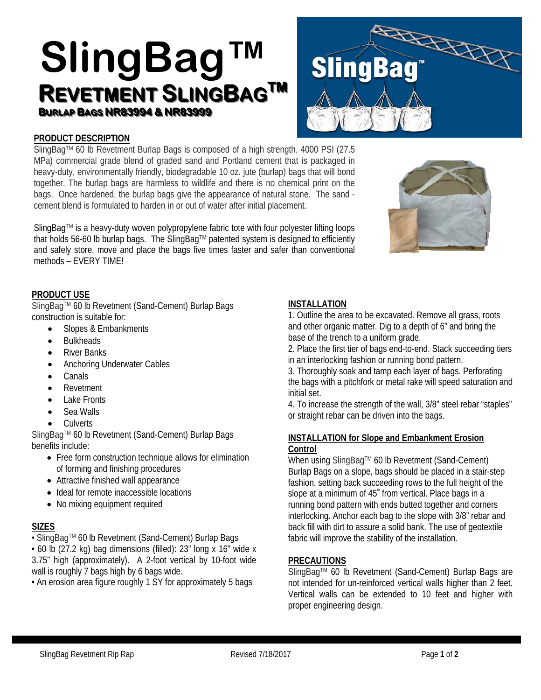# **SlingBag™** REVETMENT SLINGBAG<sup>TM</sup> **BURLAP BAGS NR83994 & NR83999**



# **PRODUCT DESCRIPTION**

SlingBag™ 60 lb Revetment Burlap Bags is composed of a high strength, 4000 PSI (27.5 MPa) commercial grade blend of graded sand and Portland cement that is packaged in heavy-duty, environmentally friendly, biodegradable 10 oz. jute (burlap) bags that will bond together. The burlap bags are harmless to wildlife and there is no chemical print on the bags. Once hardened, the burlap bags give the appearance of natural stone. The sand cement blend is formulated to harden in or out of water after initial placement.

SlingBag™ is a heavy-duty woven polypropylene fabric tote with four polyester lifting loops that holds 56-60 lb burlap bags. The SlingBag™ patented system is designed to efficiently and safely store, move and place the bags five times faster and safer than conventional methods – EVERY TIME!



## **PRODUCT USE**

SlingBag™ 60 lb Revetment (Sand-Cement) Burlap Bags construction is suitable for:

- Slopes & Embankments
- **Bulkheads**
- River Banks
- Anchoring Underwater Cables
- **Canals**
- Revetment
- Lake Fronts
- Sea Walls
- **Culverts**

SlingBagTM 60 lb Revetment (Sand-Cement) Burlap Bags benefits include:

- Free form construction technique allows for elimination of forming and finishing procedures
- Attractive finished wall appearance
- Ideal for remote inaccessible locations
- No mixing equipment required

## **SIZES**

• SlingBagTM 60 lb Revetment (Sand-Cement) Burlap Bags

• 60 lb (27.2 kg) bag dimensions (filled): 23" long x 16" wide x 3.75" high (approximately). A 2-foot vertical by 10-foot wide wall is roughly 7 bags high by 6 bags wide.

• An erosion area figure roughly 1 SY for approximately 5 bags

## **INSTALLATION**

1. Outline the area to be excavated. Remove all grass, roots and other organic matter. Dig to a depth of 6" and bring the base of the trench to a uniform grade.

2. Place the first tier of bags end-to-end. Stack succeeding tiers in an interlocking fashion or running bond pattern.

3. Thoroughly soak and tamp each layer of bags. Perforating the bags with a pitchfork or metal rake will speed saturation and initial set.

4. To increase the strength of the wall, 3/8" steel rebar "staples" or straight rebar can be driven into the bags.

#### **INSTALLATION for Slope and Embankment Erosion Control**

When using SlingBag™ 60 lb Revetment (Sand-Cement) Burlap Bags on a slope, bags should be placed in a stair-step fashion, setting back succeeding rows to the full height of the slope at a minimum of 45˚ from vertical. Place bags in a running bond pattern with ends butted together and corners interlocking. Anchor each bag to the slope with 3/8" rebar and back fill with dirt to assure a solid bank. The use of geotextile fabric will improve the stability of the installation.

#### **PRECAUTIONS**

SlingBag™ 60 lb Revetment (Sand-Cement) Burlap Bags are not intended for un-reinforced vertical walls higher than 2 feet. Vertical walls can be extended to 10 feet and higher with proper engineering design.